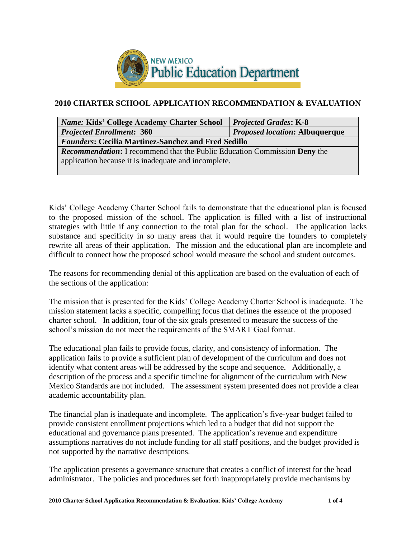

## **2010 CHARTER SCHOOL APPLICATION RECOMMENDATION & EVALUATION**

| <i>Name: Kids' College Academy Charter School</i>                                | <b>Projected Grades: K-8</b> |  |  |
|----------------------------------------------------------------------------------|------------------------------|--|--|
| <b>Projected Enrollment: 360</b><br><i>Proposed location: Albuquerque</i>        |                              |  |  |
| <b>Founders: Cecilia Martinez-Sanchez and Fred Sedillo</b>                       |                              |  |  |
| <b>Recommendation:</b> I recommend that the Public Education Commission Deny the |                              |  |  |
| application because it is inadequate and incomplete.                             |                              |  |  |
|                                                                                  |                              |  |  |

Kids' College Academy Charter School fails to demonstrate that the educational plan is focused to the proposed mission of the school. The application is filled with a list of instructional strategies with little if any connection to the total plan for the school. The application lacks substance and specificity in so many areas that it would require the founders to completely rewrite all areas of their application. The mission and the educational plan are incomplete and difficult to connect how the proposed school would measure the school and student outcomes.

The reasons for recommending denial of this application are based on the evaluation of each of the sections of the application:

The mission that is presented for the Kids' College Academy Charter School is inadequate. The mission statement lacks a specific, compelling focus that defines the essence of the proposed charter school. In addition, four of the six goals presented to measure the success of the school's mission do not meet the requirements of the SMART Goal format.

The educational plan fails to provide focus, clarity, and consistency of information. The application fails to provide a sufficient plan of development of the curriculum and does not identify what content areas will be addressed by the scope and sequence. Additionally, a description of the process and a specific timeline for alignment of the curriculum with New Mexico Standards are not included. The assessment system presented does not provide a clear academic accountability plan.

The financial plan is inadequate and incomplete. The application's five-year budget failed to provide consistent enrollment projections which led to a budget that did not support the educational and governance plans presented. The application's revenue and expenditure assumptions narratives do not include funding for all staff positions, and the budget provided is not supported by the narrative descriptions.

The application presents a governance structure that creates a conflict of interest for the head administrator. The policies and procedures set forth inappropriately provide mechanisms by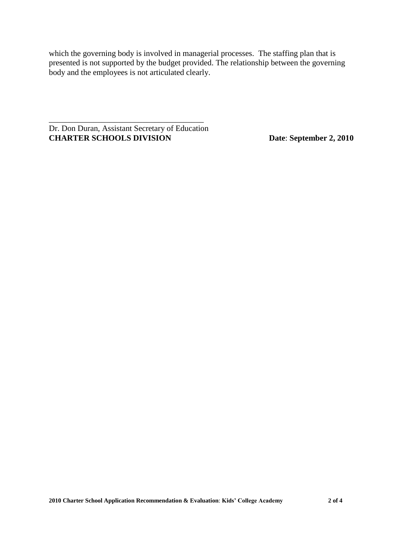which the governing body is involved in managerial processes. The staffing plan that is presented is not supported by the budget provided. The relationship between the governing body and the employees is not articulated clearly.

Dr. Don Duran, Assistant Secretary of Education **CHARTER SCHOOLS DIVISION Date**: **September 2, 2010**

\_\_\_\_\_\_\_\_\_\_\_\_\_\_\_\_\_\_\_\_\_\_\_\_\_\_\_\_\_\_\_\_\_\_\_\_\_\_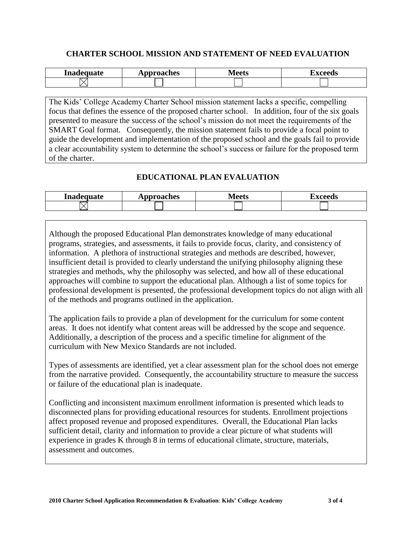### **CHARTER SCHOOL MISSION AND STATEMENT OF NEED EVALUATION**

| Inadequate | oproaches<br><b>A</b> ALI | $\sim$ / $\sim$ $\sim$ $\sim$<br><b>IVICCLS</b> | $-$ |
|------------|---------------------------|-------------------------------------------------|-----|
|            |                           |                                                 |     |

The Kids' College Academy Charter School mission statement lacks a specific, compelling focus that defines the essence of the proposed charter school. In addition, four of the six goals presented to measure the success of the school's mission do not meet the requirements of the SMART Goal format. Consequently, the mission statement fails to provide a focal point to guide the development and implementation of the proposed school and the goals fail to provide a clear accountability system to determine the school's success or failure for the proposed term of the charter.

# **EDUCATIONAL PLAN EVALUATION**

| Inadequate | pproaches<br><b>TAL</b> | ∧l eets<br>wluus | I vooode<br>Δ۸<br>cccus |
|------------|-------------------------|------------------|-------------------------|
|            |                         |                  |                         |

Although the proposed Educational Plan demonstrates knowledge of many educational programs, strategies, and assessments, it fails to provide focus, clarity, and consistency of information. A plethora of instructional strategies and methods are described, however, insufficient detail is provided to clearly understand the unifying philosophy aligning these strategies and methods, why the philosophy was selected, and how all of these educational approaches will combine to support the educational plan. Although a list of some topics for professional development is presented, the professional development topics do not align with all of the methods and programs outlined in the application.

The application fails to provide a plan of development for the curriculum for some content areas. It does not identify what content areas will be addressed by the scope and sequence. Additionally, a description of the process and a specific timeline for alignment of the curriculum with New Mexico Standards are not included.

Types of assessments are identified, yet a clear assessment plan for the school does not emerge from the narrative provided. Consequently, the accountability structure to measure the success or failure of the educational plan is inadequate.

Conflicting and inconsistent maximum enrollment information is presented which leads to disconnected plans for providing educational resources for students. Enrollment projections affect proposed revenue and proposed expenditures. Overall, the Educational Plan lacks sufficient detail, clarity and information to provide a clear picture of what students will experience in grades K through 8 in terms of educational climate, structure, materials, assessment and outcomes.